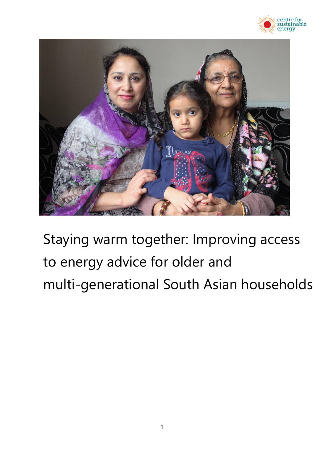



Staying warm together: Improving access to energy advice for older and multi-generational South Asian households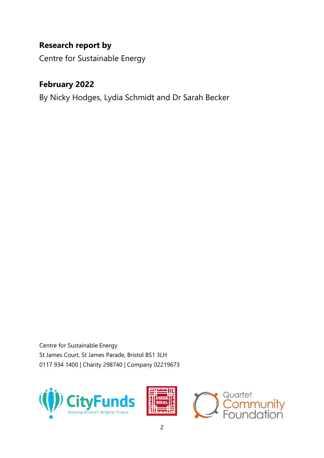# **Research report by**

Centre for Sustainable Energy

# **February 2022**

By Nicky Hodges, Lydia Schmidt and Dr Sarah Becker

Centre for Sustainable Energy St James Court, St James Parade, Bristol BS1 3LH 0117 934 1400 | Charity 298740 | Company 02219673





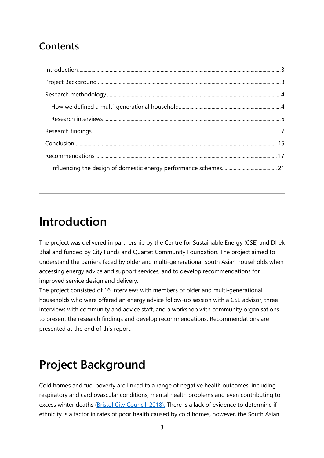# **Contents**

# <span id="page-2-0"></span>**Introduction**

The project was delivered in partnership by the Centre for Sustainable Energy (CSE) and Dhek Bhal and funded by City Funds and Quartet Community Foundation. The project aimed to understand the barriers faced by older and multi-generational South Asian households when accessing energy advice and support services, and to develop recommendations for improved service design and delivery.

The project consisted of 16 interviews with members of older and multi-generational households who were offered an energy advice follow-up session with a CSE advisor, three interviews with community and advice staff, and a workshop with community organisations to present the research findings and develop recommendations. [Recommendations](#page-16-0) are presented at the end of this report.

# <span id="page-2-1"></span>**Project Background**

Cold homes and fuel poverty are linked to a range of negative health outcomes, including respiratory and cardiovascular conditions, mental health problems and even contributing to excess winter deaths [\(Bristol City Council, 2018\).](https://www.bristol.gov.uk/documents/20182/34772/Fuel+Poverty+JSNA+Chapter+%282018%29.pdf/46359d3e-74cd-524e-819f-d27c86a692ae) There is a lack of evidence to determine if ethnicity is a factor in rates of poor health caused by cold homes, however, the South Asian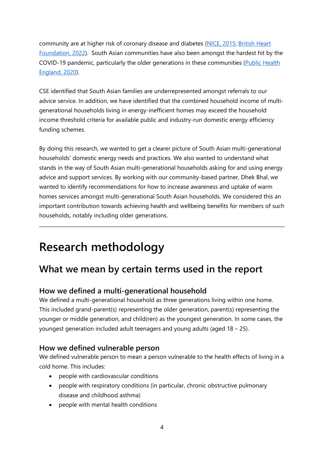community are at higher risk of coronary disease and diabetes [\(NICE, 2015;](file:///C:/Users/sarahb/AppData/Local/Microsoft/Windows/INetCache/Content.Outlook/0JZNPRET/%20https/www.nice.org.uk/guidance/ng6) British Heart [Foundation, 2022\)](https://www.bhf.org.uk/informationsupport/heart-matters-magazine/medical/south-asian-background#:~:text=Does%20South%20Asian%20background%20affect,European%20population%20in%20the%20UK). South Asian communities have also been amongst the hardest hit by the COVID-19 pandemic, particularly the older generations in these communities [\(Public Health](https://assets.publishing.service.gov.uk/government/uploads/system/uploads/attachment_data/file/908434/Disparities_in_the_risk_and_outcomes_of_COVID_August_2020_update.pdf)  [England, 2020\)](https://assets.publishing.service.gov.uk/government/uploads/system/uploads/attachment_data/file/908434/Disparities_in_the_risk_and_outcomes_of_COVID_August_2020_update.pdf).

CSE identified that South Asian families are underrepresented amongst referrals to our advice service. In addition, we have identified that the combined household income of multigenerational households living in energy-inefficient homes may exceed the household income threshold criteria for available public and industry-run domestic energy efficiency funding schemes.

By doing this research, we wanted to get a clearer picture of South Asian multi-generational households' domestic energy needs and practices. We also wanted to understand what stands in the way of South Asian multi-generational households asking for and using energy advice and support services. By working with our community-based partner, Dhek Bhal, we wanted to identify recommendations for how to increase awareness and uptake of warm homes services amongst multi-generational South Asian households. We considered this an important contribution towards achieving health and wellbeing benefits for members of such households, notably including older generations.

# <span id="page-3-0"></span>**Research methodology**

# <span id="page-3-1"></span>**What we mean by certain terms used in the report**

## **How we defined a multi-generational household**

We defined a multi-generational household as three generations living within one home. This included grand-parent(s) representing the older generation, parent(s) representing the younger or middle generation, and child(ren) as the youngest generation. In some cases, the youngest generation included adult teenagers and young adults (aged 18 – 25).

#### **How we defined vulnerable person**

We defined vulnerable person to mean a person vulnerable to the health effects of living in a cold home. This includes:

- people with cardiovascular conditions
- people with respiratory conditions (in particular, chronic obstructive pulmonary disease and childhood asthma)
- people with mental health conditions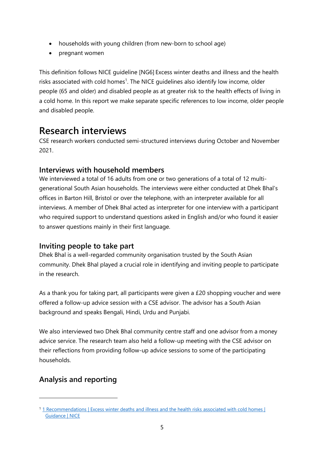- households with young children (from new-born to school age)
- pregnant women

This definition follows NICE guideline [NG6] Excess winter deaths and illness and the health risks associated with cold homes<sup>1</sup>. The NICE guidelines also identify low income, older people (65 and older) and disabled people as at greater risk to the health effects of living in a cold home. In this report we make separate specific references to low income, older people and disabled people.

# <span id="page-4-0"></span>**Research interviews**

CSE research workers conducted semi-structured interviews during October and November 2021.

#### **Interviews with household members**

We interviewed a total of 16 adults from one or two generations of a total of 12 multigenerational South Asian households. The interviews were either conducted at Dhek Bhal's offices in Barton Hill, Bristol or over the telephone, with an interpreter available for all interviews. A member of Dhek Bhal acted as interpreter for one interview with a participant who required support to understand questions asked in English and/or who found it easier to answer questions mainly in their first language.

#### **Inviting people to take part**

Dhek Bhal is a well-regarded community organisation trusted by the South Asian community. Dhek Bhal played a crucial role in identifying and inviting people to participate in the research.

As a thank you for taking part, all participants were given a £20 shopping voucher and were offered a follow-up advice session with a CSE advisor. The advisor has a South Asian background and speaks Bengali, Hindi, Urdu and Punjabi.

We also interviewed two Dhek Bhal community centre staff and one advisor from a money advice service. The research team also held a follow-up meeting with the CSE advisor on their reflections from providing follow-up advice sessions to some of the participating households.

## **Analysis and reporting**

<sup>11</sup> Recommendations | Excess winter deaths and illness and the health risks associated with cold homes | [Guidance | NICE](https://www.nice.org.uk/guidance/NG6/chapter/1-recommendations)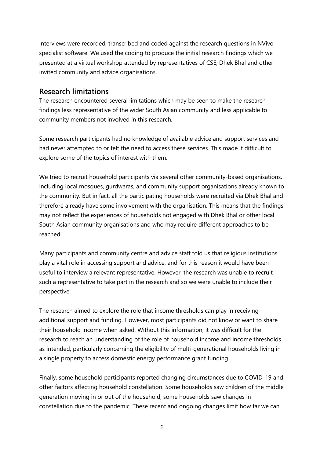Interviews were recorded, transcribed and coded against the research questions in NVivo specialist software. We used the coding to produce the initial research findings which we presented at a virtual workshop attended by representatives of CSE, Dhek Bhal and other invited community and advice organisations.

#### **Research limitations**

The research encountered several limitations which may be seen to make the research findings less representative of the wider South Asian community and less applicable to community members not involved in this research.

Some research participants had no knowledge of available advice and support services and had never attempted to or felt the need to access these services. This made it difficult to explore some of the topics of interest with them.

We tried to recruit household participants via several other community-based organisations, including local mosques, gurdwaras, and community support organisations already known to the community. But in fact, all the participating households were recruited via Dhek Bhal and therefore already have some involvement with the organisation. This means that the findings may not reflect the experiences of households not engaged with Dhek Bhal or other local South Asian community organisations and who may require different approaches to be reached.

Many participants and community centre and advice staff told us that religious institutions play a vital role in accessing support and advice, and for this reason it would have been useful to interview a relevant representative. However, the research was unable to recruit such a representative to take part in the research and so we were unable to include their perspective.

The research aimed to explore the role that income thresholds can play in receiving additional support and funding. However, most participants did not know or want to share their household income when asked. Without this information, it was difficult for the research to reach an understanding of the role of household income and income thresholds as intended, particularly concerning the eligibility of multi-generational households living in a single property to access domestic energy performance grant funding.

Finally, some household participants reported changing circumstances due to COVID-19 and other factors affecting household constellation. Some households saw children of the middle generation moving in or out of the household, some households saw changes in constellation due to the pandemic. These recent and ongoing changes limit how far we can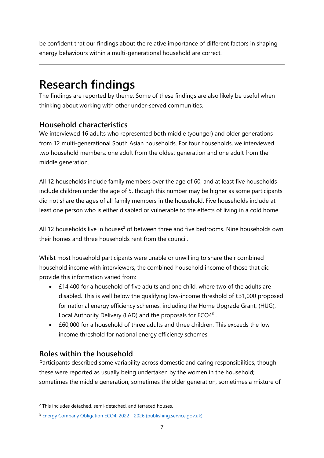be confident that our findings about the relative importance of different factors in shaping energy behaviours within a multi-generational household are correct.

# <span id="page-6-0"></span>**Research findings**

The findings are reported by theme. Some of these findings are also likely be useful when thinking about working with other under-served communities.

#### **Household characteristics**

We interviewed 16 adults who represented both middle (younger) and older generations from 12 multi-generational South Asian households. For four households, we interviewed two household members: one adult from the oldest generation and one adult from the middle generation.

All 12 households include family members over the age of 60, and at least five households include children under the age of 5, though this number may be higher as some participants did not share the ages of all family members in the household. Five households include at least one person who is either disabled or vulnerable to the effects of living in a cold home.

All 12 households live in houses<sup>2</sup> of between three and five bedrooms. Nine households own their homes and three households rent from the council.

Whilst most household participants were unable or unwilling to share their combined household income with interviewers, the combined household income of those that did provide this information varied from:

- £14,400 for a household of five adults and one child, where two of the adults are disabled. This is well below the qualifying low-income threshold of £31,000 proposed for national energy efficiency schemes, including the Home Upgrade Grant, (HUG), Local Authority Delivery (LAD) and the proposals for  $ECO4<sup>3</sup>$ .
- £60,000 for a household of three adults and three children. This exceeds the low income threshold for national energy efficiency schemes.

## **Roles within the household**

Participants described some variability across domestic and caring responsibilities, though these were reported as usually being undertaken by the women in the household; sometimes the middle generation, sometimes the older generation, sometimes a mixture of

<sup>&</sup>lt;sup>2</sup> This includes detached, semi-detached, and terraced houses.

<sup>3</sup> [Energy Company Obligation ECO4: 2022 -](https://assets.publishing.service.gov.uk/government/uploads/system/uploads/attachment_data/file/1010366/eco4-consultation.pdf) 2026 (publishing.service.gov.uk)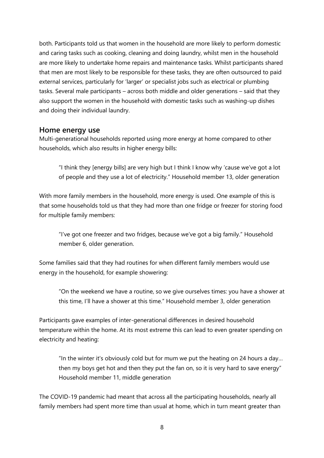both. Participants told us that women in the household are more likely to perform domestic and caring tasks such as cooking, cleaning and doing laundry, whilst men in the household are more likely to undertake home repairs and maintenance tasks. Whilst participants shared that men are most likely to be responsible for these tasks, they are often outsourced to paid external services, particularly for 'larger' or specialist jobs such as electrical or plumbing tasks. Several male participants – across both middle and older generations – said that they also support the women in the household with domestic tasks such as washing-up dishes and doing their individual laundry.

#### **Home energy use**

Multi-generational households reported using more energy at home compared to other households, which also results in higher energy bills:

"I think they [energy bills] are very high but I think I know why 'cause we've got a lot of people and they use a lot of electricity." Household member 13, older generation

With more family members in the household, more energy is used. One example of this is that some households told us that they had more than one fridge or freezer for storing food for multiple family members:

"I've got one freezer and two fridges, because we've got a big family." Household member 6, older generation.

Some families said that they had routines for when different family members would use energy in the household, for example showering:

"On the weekend we have a routine, so we give ourselves times: you have a shower at this time, I'll have a shower at this time." Household member 3, older generation

Participants gave examples of inter-generational differences in desired household temperature within the home. At its most extreme this can lead to even greater spending on electricity and heating:

"In the winter it's obviously cold but for mum we put the heating on 24 hours a day… then my boys get hot and then they put the fan on, so it is very hard to save energy" Household member 11, middle generation

The COVID-19 pandemic had meant that across all the participating households, nearly all family members had spent more time than usual at home, which in turn meant greater than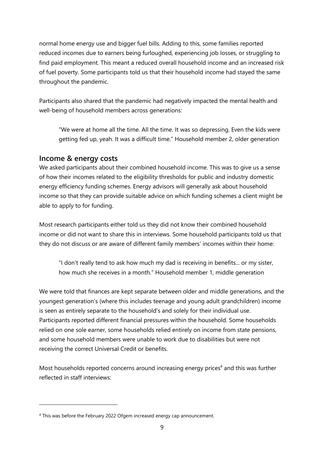normal home energy use and bigger fuel bills. Adding to this, some families reported reduced incomes due to earners being furloughed, experiencing job losses, or struggling to find paid employment. This meant a reduced overall household income and an increased risk of fuel poverty. Some participants told us that their household income had stayed the same throughout the pandemic.

Participants also shared that the pandemic had negatively impacted the mental health and well-being of household members across generations:

"We were at home all the time. All the time. It was so depressing. Even the kids were getting fed up, yeah. It was a difficult time." Household member 2, older generation

#### **Income & energy costs**

We asked participants about their combined household income. This was to give us a sense of how their incomes related to the eligibility thresholds for public and industry domestic energy efficiency funding schemes. Energy advisors will generally ask about household income so that they can provide suitable advice on which funding schemes a client might be able to apply to for funding.

Most research participants either told us they did not know their combined household income or did not want to share this in interviews. Some household participants told us that they do not discuss or are aware of different family members' incomes within their home:

"I don't really tend to ask how much my dad is receiving in benefits... or my sister, how much she receives in a month." Household member 1, middle generation

We were told that finances are kept separate between older and middle generations, and the youngest generation's (where this includes teenage and young adult grandchildren) income is seen as entirely separate to the household's and solely for their individual use. Participants reported different financial pressures within the household. Some households relied on one sole earner, some households relied entirely on income from state pensions, and some household members were unable to work due to disabilities but were not receiving the correct Universal Credit or benefits.

Most households reported concerns around increasing energy prices<sup>4</sup> and this was further reflected in staff interviews:

<sup>4</sup> This was before the February 2022 Ofgem increased energy cap announcement.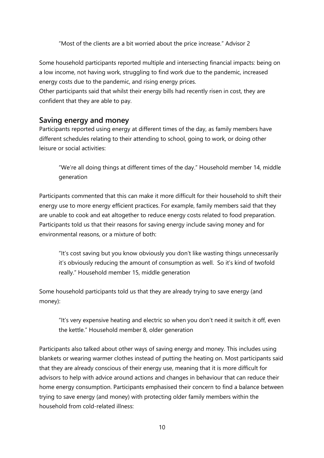"Most of the clients are a bit worried about the price increase." Advisor 2

Some household participants reported multiple and intersecting financial impacts: being on a low income, not having work, struggling to find work due to the pandemic, increased energy costs due to the pandemic, and rising energy prices.

Other participants said that whilst their energy bills had recently risen in cost, they are confident that they are able to pay.

#### **Saving energy and money**

Participants reported using energy at different times of the day, as family members have different schedules relating to their attending to school, going to work, or doing other leisure or social activities:

"We're all doing things at different times of the day." Household member 14, middle generation

Participants commented that this can make it more difficult for their household to shift their energy use to more energy efficient practices. For example, family members said that they are unable to cook and eat altogether to reduce energy costs related to food preparation. Participants told us that their reasons for saving energy include saving money and for environmental reasons, or a mixture of both:

"It's cost saving but you know obviously you don't like wasting things unnecessarily it's obviously reducing the amount of consumption as well. So it's kind of twofold really." Household member 15, middle generation

Some household participants told us that they are already trying to save energy (and money):

"It's very expensive heating and electric so when you don't need it switch it off, even the kettle." Household member 8, older generation

Participants also talked about other ways of saving energy and money. This includes using blankets or wearing warmer clothes instead of putting the heating on. Most participants said that they are already conscious of their energy use, meaning that it is more difficult for advisors to help with advice around actions and changes in behaviour that can reduce their home energy consumption. Participants emphasised their concern to find a balance between trying to save energy (and money) with protecting older family members within the household from cold-related illness: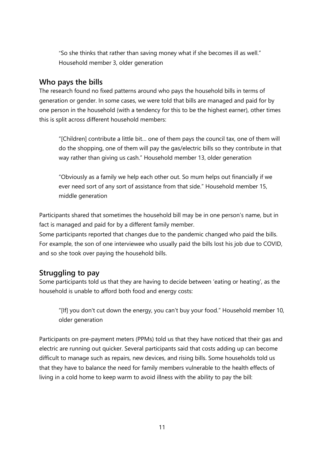"So she thinks that rather than saving money what if she becomes ill as well." Household member 3, older generation

#### **Who pays the bills**

The research found no fixed patterns around who pays the household bills in terms of generation or gender. In some cases, we were told that bills are managed and paid for by one person in the household (with a tendency for this to be the highest earner), other times this is split across different household members:

"[Children] contribute a little bit… one of them pays the council tax, one of them will do the shopping, one of them will pay the gas/electric bills so they contribute in that way rather than giving us cash." Household member 13, older generation

"Obviously as a family we help each other out. So mum helps out financially if we ever need sort of any sort of assistance from that side." Household member 15, middle generation

Participants shared that sometimes the household bill may be in one person's name, but in fact is managed and paid for by a different family member.

Some participants reported that changes due to the pandemic changed who paid the bills. For example, the son of one interviewee who usually paid the bills lost his job due to COVID, and so she took over paying the household bills.

#### **Struggling to pay**

Some participants told us that they are having to decide between 'eating or heating', as the household is unable to afford both food and energy costs:

"[If] you don't cut down the energy, you can't buy your food." Household member 10, older generation

Participants on pre-payment meters (PPMs) told us that they have noticed that their gas and electric are running out quicker. Several participants said that costs adding up can become difficult to manage such as repairs, new devices, and rising bills. Some households told us that they have to balance the need for family members vulnerable to the health effects of living in a cold home to keep warm to avoid illness with the ability to pay the bill: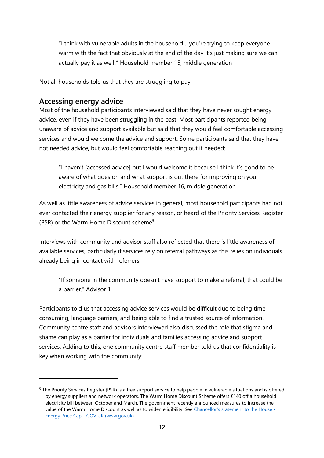"I think with vulnerable adults in the household… you're trying to keep everyone warm with the fact that obviously at the end of the day it's just making sure we can actually pay it as well!" Household member 15, middle generation

Not all households told us that they are struggling to pay.

#### **Accessing energy advice**

Most of the household participants interviewed said that they have never sought energy advice, even if they have been struggling in the past. Most participants reported being unaware of advice and support available but said that they would feel comfortable accessing services and would welcome the advice and support. Some participants said that they have not needed advice, but would feel comfortable reaching out if needed:

"I haven't [accessed advice] but I would welcome it because I think it's good to be aware of what goes on and what support is out there for improving on your electricity and gas bills." Household member 16, middle generation

As well as little awareness of advice services in general, most household participants had not ever contacted their energy supplier for any reason, or heard of the Priority Services Register (PSR) or the Warm Home Discount scheme<sup>5</sup>.

Interviews with community and advisor staff also reflected that there is little awareness of available services, particularly if services rely on referral pathways as this relies on individuals already being in contact with referrers:

"If someone in the community doesn't have support to make a referral, that could be a barrier." Advisor 1

Participants told us that accessing advice services would be difficult due to being time consuming, language barriers, and being able to find a trusted source of information. Community centre staff and advisors interviewed also discussed the role that stigma and shame can play as a barrier for individuals and families accessing advice and support services. Adding to this, one community centre staff member told us that confidentiality is key when working with the community:

<sup>5</sup> The Priority Services Register (PSR) is a free support service to help people in vulnerable situations and is offered by energy suppliers and network operators. The Warm Home Discount Scheme offers £140 off a household electricity bill between October and March. The government recently announced measures to increase the value of the Warm Home Discount as well as to widen eligibility. See [Chancellor's statement to the House -](https://www.gov.uk/government/speeches/chancellors-statement-to-the-house-energy-price-cap) Energy Price Cap - [GOV.UK \(www.gov.uk\)](https://www.gov.uk/government/speeches/chancellors-statement-to-the-house-energy-price-cap)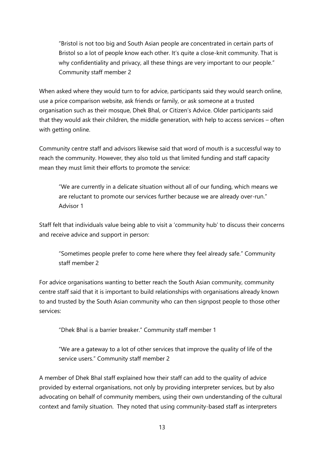"Bristol is not too big and South Asian people are concentrated in certain parts of Bristol so a lot of people know each other. It's quite a close-knit community. That is why confidentiality and privacy, all these things are very important to our people." Community staff member 2

When asked where they would turn to for advice, participants said they would search online, use a price comparison website, ask friends or family, or ask someone at a trusted organisation such as their mosque, Dhek Bhal, or Citizen's Advice. Older participants said that they would ask their children, the middle generation, with help to access services – often with getting online.

Community centre staff and advisors likewise said that word of mouth is a successful way to reach the community. However, they also told us that limited funding and staff capacity mean they must limit their efforts to promote the service:

"We are currently in a delicate situation without all of our funding, which means we are reluctant to promote our services further because we are already over-run." Advisor 1

Staff felt that individuals value being able to visit a 'community hub' to discuss their concerns and receive advice and support in person:

"Sometimes people prefer to come here where they feel already safe." Community staff member 2

For advice organisations wanting to better reach the South Asian community, community centre staff said that it is important to build relationships with organisations already known to and trusted by the South Asian community who can then signpost people to those other services:

"Dhek Bhal is a barrier breaker." Community staff member 1

"We are a gateway to a lot of other services that improve the quality of life of the service users." Community staff member 2

A member of Dhek Bhal staff explained how their staff can add to the quality of advice provided by external organisations, not only by providing interpreter services, but by also advocating on behalf of community members, using their own understanding of the cultural context and family situation. They noted that using community-based staff as interpreters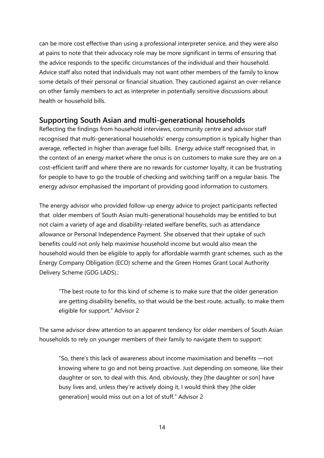can be more cost effective than using a professional interpreter service, and they were also at pains to note that their advocacy role may be more significant in terms of ensuring that the advice responds to the specific circumstances of the individual and their household. Advice staff also noted that individuals may not want other members of the family to know some details of their personal or financial situation. They cautioned against an over-reliance on other family members to act as interpreter in potentially sensitive discussions about health or household bills.

#### **Supporting South Asian and multi-generational households**

Reflecting the findings from household interviews, community centre and advisor staff recognised that multi-generational households' energy consumption is typically higher than average, reflected in higher than average fuel bills. Energy advice staff recognised that, in the context of an energy market where the onus is on customers to make sure they are on a cost-efficient tariff and where there are no rewards for customer loyalty, it can be frustrating for people to have to go the trouble of checking and switching tariff on a regular basis. The energy advisor emphasised the important of providing good information to customers.

The energy advisor who provided follow-up energy advice to project participants reflected that older members of South Asian multi-generational households may be entitled to but not claim a variety of age and disability-related welfare benefits, such as attendance allowance or Personal Independence Payment. She observed that their uptake of such benefits could not only help maximise household income but would also mean the household would then be eligible to apply for affordable warmth grant schemes, such as the Energy Company Obligation (ECO) scheme and the Green Homes Grant Local Authority Delivery Scheme (GDG LADS).:

"The best route to for this kind of scheme is to make sure that the older generation are getting disability benefits, so that would be the best route, actually, to make them eligible for support." Advisor 2

The same advisor drew attention to an apparent tendency for older members of South Asian households to rely on younger members of their family to navigate them to support:

"So, there's this lack of awareness about income maximisation and benefits ––not knowing where to go and not being proactive. Just depending on someone, like their daughter or son, to deal with this. And, obviously, they [the daughter or son] have busy lives and, unless they're actively doing it, I would think they [the older generation] would miss out on a lot of stuff." Advisor 2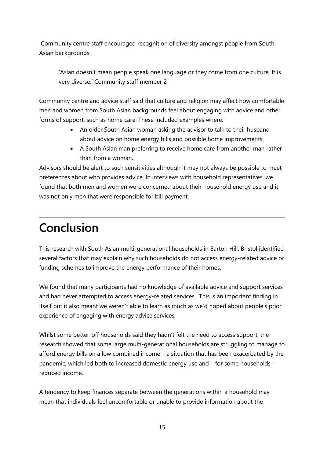Community centre staff encouraged recognition of diversity amongst people from South Asian backgrounds:

'Asian doesn't mean people speak one language or they come from one culture. It is very diverse.' Community staff member 2

Community centre and advice staff said that culture and religion may affect how comfortable men and women from South Asian backgrounds feel about engaging with advice and other forms of support, such as home care. These included examples where:

- An older South Asian woman asking the advisor to talk to their husband about advice on home energy bills and possible home improvements.
- A South Asian man preferring to receive home care from another man rather than from a woman.

Advisors should be alert to such sensitivities although it may not always be possible to meet preferences about who provides advice. In interviews with household representatives, we found that both men and women were concerned about their household energy use and it was not only men that were responsible for bill payment.

# <span id="page-14-0"></span>**Conclusion**

This research with South Asian multi-generational households in Barton Hill, Bristol identified several factors that may explain why such households do not access energy-related advice or funding schemes to improve the energy performance of their homes.

We found that many participants had no knowledge of available advice and support services and had never attempted to access energy-related services. This is an important finding in itself but it also meant we weren't able to learn as much as we'd hoped about people's prior experience of engaging with energy advice services.

Whilst some better-off households said they hadn't felt the need to access support, the research showed that some large multi-generational households are struggling to manage to afford energy bills on a low combined income – a situation that has been exacerbated by the pandemic, which led both to increased domestic energy use and – for some households – reduced income.

A tendency to keep finances separate between the generations within a household may mean that individuals feel uncomfortable or unable to provide information about the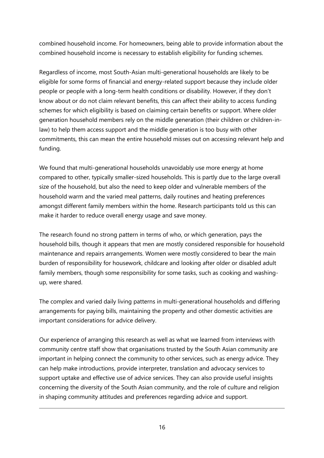combined household income. For homeowners, being able to provide information about the combined household income is necessary to establish eligibility for funding schemes.

Regardless of income, most South-Asian multi-generational households are likely to be eligible for some forms of financial and energy-related support because they include older people or people with a long-term health conditions or disability. However, if they don't know about or do not claim relevant benefits, this can affect their ability to access funding schemes for which eligibility is based on claiming certain benefits or support. Where older generation household members rely on the middle generation (their children or children-inlaw) to help them access support and the middle generation is too busy with other commitments, this can mean the entire household misses out on accessing relevant help and funding.

We found that multi-generational households unavoidably use more energy at home compared to other, typically smaller-sized households. This is partly due to the large overall size of the household, but also the need to keep older and vulnerable members of the household warm and the varied meal patterns, daily routines and heating preferences amongst different family members within the home. Research participants told us this can make it harder to reduce overall energy usage and save money.

The research found no strong pattern in terms of who, or which generation, pays the household bills, though it appears that men are mostly considered responsible for household maintenance and repairs arrangements. Women were mostly considered to bear the main burden of responsibility for housework, childcare and looking after older or disabled adult family members, though some responsibility for some tasks, such as cooking and washingup, were shared.

The complex and varied daily living patterns in multi-generational households and differing arrangements for paying bills, maintaining the property and other domestic activities are important considerations for advice delivery.

Our experience of arranging this research as well as what we learned from interviews with community centre staff show that organisations trusted by the South Asian community are important in helping connect the community to other services, such as energy advice. They can help make introductions, provide interpreter, translation and advocacy services to support uptake and effective use of advice services. They can also provide useful insights concerning the diversity of the South Asian community, and the role of culture and religion in shaping community attitudes and preferences regarding advice and support.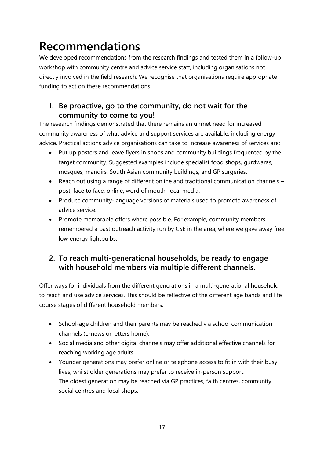# <span id="page-16-0"></span>**Recommendations**

We developed recommendations from the research findings and tested them in a follow-up workshop with community centre and advice service staff, including organisations not directly involved in the field research. We recognise that organisations require appropriate funding to act on these recommendations.

## **1. Be proactive, go to the community, do not wait for the community to come to you!**

The research findings demonstrated that there remains an unmet need for increased community awareness of what advice and support services are available, including energy advice. Practical actions advice organisations can take to increase awareness of services are:

- Put up posters and leave flyers in shops and community buildings frequented by the target community. Suggested examples include specialist food shops, gurdwaras, mosques, mandirs, South Asian community buildings, and GP surgeries.
- Reach out using a range of different online and traditional communication channels post, face to face, online, word of mouth, local media.
- Produce community-language versions of materials used to promote awareness of advice service.
- Promote memorable offers where possible. For example, community members remembered a past outreach activity run by CSE in the area, where we gave away free low energy lightbulbs.

## **2. To reach multi-generational households, be ready to engage with household members via multiple different channels.**

Offer ways for individuals from the different generations in a multi-generational household to reach and use advice services. This should be reflective of the different age bands and life course stages of different household members.

- School-age children and their parents may be reached via school communication channels (e-news or letters home).
- Social media and other digital channels may offer additional effective channels for reaching working age adults.
- Younger generations may prefer online or telephone access to fit in with their busy lives, whilst older generations may prefer to receive in-person support. The oldest generation may be reached via GP practices, faith centres, community social centres and local shops.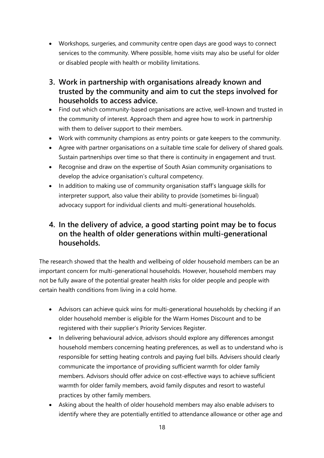- Workshops, surgeries, and community centre open days are good ways to connect services to the community. Where possible, home visits may also be useful for older or disabled people with health or mobility limitations.
- **3. Work in partnership with organisations already known and trusted by the community and aim to cut the steps involved for households to access advice.**
- Find out which community-based organisations are active, well-known and trusted in the community of interest. Approach them and agree how to work in partnership with them to deliver support to their members.
- Work with community champions as entry points or gate keepers to the community.
- Agree with partner organisations on a suitable time scale for delivery of shared goals. Sustain partnerships over time so that there is continuity in engagement and trust.
- Recognise and draw on the expertise of South Asian community organisations to develop the advice organisation's cultural competency.
- In addition to making use of community organisation staff's language skills for interpreter support, also value their ability to provide (sometimes bi-lingual) advocacy support for individual clients and multi-generational households.

## **4. In the delivery of advice, a good starting point may be to focus on the health of older generations within multi-generational households.**

The research showed that the health and wellbeing of older household members can be an important concern for multi-generational households. However, household members may not be fully aware of the potential greater health risks for older people and people with certain health conditions from living in a cold home.

- Advisors can achieve quick wins for multi-generational households by checking if an older household member is eligible for the Warm Homes Discount and to be registered with their supplier's Priority Services Register.
- In delivering behavioural advice, advisors should explore any differences amongst household members concerning heating preferences, as well as to understand who is responsible for setting heating controls and paying fuel bills. Advisers should clearly communicate the importance of providing sufficient warmth for older family members. Advisors should offer advice on cost-effective ways to achieve sufficient warmth for older family members, avoid family disputes and resort to wasteful practices by other family members.
- Asking about the health of older household members may also enable advisers to identify where they are potentially entitled to attendance allowance or other age and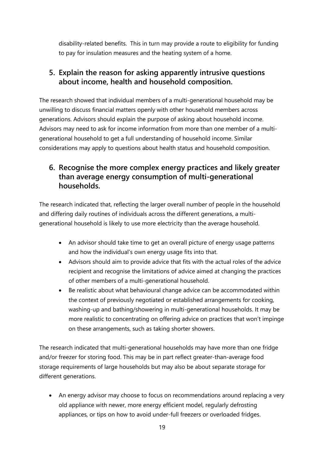disability-related benefits. This in turn may provide a route to eligibility for funding to pay for insulation measures and the heating system of a home.

## **5. Explain the reason for asking apparently intrusive questions about income, health and household composition.**

The research showed that individual members of a multi-generational household may be unwilling to discuss financial matters openly with other household members across generations. Advisors should explain the purpose of asking about household income. Advisors may need to ask for income information from more than one member of a multigenerational household to get a full understanding of household income. Similar considerations may apply to questions about health status and household composition.

## **6. Recognise the more complex energy practices and likely greater than average energy consumption of multi-generational households.**

The research indicated that, reflecting the larger overall number of people in the household and differing daily routines of individuals across the different generations, a multigenerational household is likely to use more electricity than the average household.

- An advisor should take time to get an overall picture of energy usage patterns and how the individual's own energy usage fits into that.
- Advisors should aim to provide advice that fits with the actual roles of the advice recipient and recognise the limitations of advice aimed at changing the practices of other members of a multi-generational household.
- Be realistic about what behavioural change advice can be accommodated within the context of previously negotiated or established arrangements for cooking, washing-up and bathing/showering in multi-generational households. It may be more realistic to concentrating on offering advice on practices that won't impinge on these arrangements, such as taking shorter showers.

The research indicated that multi-generational households may have more than one fridge and/or freezer for storing food. This may be in part reflect greater-than-average food storage requirements of large households but may also be about separate storage for different generations.

• An energy advisor may choose to focus on recommendations around replacing a very old appliance with newer, more energy efficient model, regularly defrosting appliances, or tips on how to avoid under-full freezers or overloaded fridges.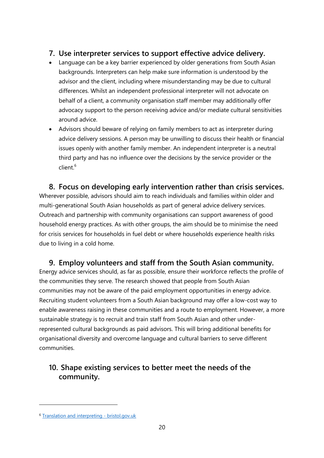#### **7. Use interpreter services to support effective advice delivery.**

- Language can be a key barrier experienced by older generations from South Asian backgrounds. Interpreters can help make sure information is understood by the advisor and the client, including where misunderstanding may be due to cultural differences. Whilst an independent professional interpreter will not advocate on behalf of a client, a community organisation staff member may additionally offer advocacy support to the person receiving advice and/or mediate cultural sensitivities around advice.
- Advisors should beware of relying on family members to act as interpreter during advice delivery sessions. A person may be unwilling to discuss their health or financial issues openly with another family member. An independent interpreter is a neutral third party and has no influence over the decisions by the service provider or the client.<sup>6</sup>

## **8. Focus on developing early intervention rather than crisis services.**  Wherever possible, advisors should aim to reach individuals and families within older and multi-generational South Asian households as part of general advice delivery services. Outreach and partnership with community organisations can support awareness of good household energy practices. As with other groups, the aim should be to minimise the need

for crisis services for households in fuel debt or where households experience health risks due to living in a cold home.

## **9. Employ volunteers and staff from the South Asian community.**

Energy advice services should, as far as possible, ensure their workforce reflects the profile of the communities they serve. The research showed that people from South Asian communities may not be aware of the paid employment opportunities in energy advice. Recruiting student volunteers from a South Asian background may offer a low-cost way to enable awareness raising in these communities and a route to employment. However, a more sustainable strategy is to recruit and train staff from South Asian and other underrepresented cultural backgrounds as paid advisors. This will bring additional benefits for organisational diversity and overcome language and cultural barriers to serve different communities.

## **10. Shape existing services to better meet the needs of the community.**

<sup>6</sup> [Translation and interpreting -](https://www.bristol.gov.uk/people-communities/translation-and-interpreting) bristol.gov.uk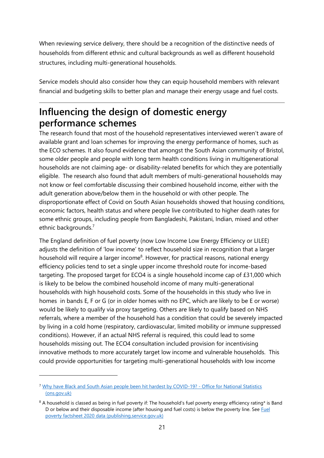When reviewing service delivery, there should be a recognition of the distinctive needs of households from different ethnic and cultural backgrounds as well as different household structures, including multi-generational households.

Service models should also consider how they can equip household members with relevant financial and budgeting skills to better plan and manage their energy usage and fuel costs.

# <span id="page-20-0"></span>**Influencing the design of domestic energy performance schemes**

The research found that most of the household representatives interviewed weren't aware of available grant and loan schemes for improving the energy performance of homes, such as the ECO schemes. It also found evidence that amongst the South Asian community of Bristol, some older people and people with long term health conditions living in multigenerational households are not claiming age- or disability-related benefits for which they are potentially eligible. The research also found that adult members of multi-generational households may not know or feel comfortable discussing their combined household income, either with the adult generation above/below them in the household or with other people. The disproportionate effect of Covid on South Asian households showed that housing conditions, economic factors, health status and where people live contributed to higher death rates for some ethnic groups, including people from Bangladeshi, Pakistani, Indian, mixed and other ethnic backgrounds. 7

The England definition of fuel poverty (now Low Income Low Energy Efficiency or LILEE) adjusts the definition of 'low income' to reflect household size in recognition that a larger household will require a larger income<sup>8</sup>. However, for practical reasons, national energy efficiency policies tend to set a single upper income threshold route for income-based targeting. The proposed target for ECO4 is a single household income cap of £31,000 which is likely to be below the combined household income of many multi-generational households with high household costs. Some of the households in this study who live in homes in bands E, F or G (or in older homes with no EPC, which are likely to be E or worse) would be likely to qualify via proxy targeting. Others are likely to qualify based on NHS referrals, where a member of the household has a condition that could be severely impacted by living in a cold home (respiratory, cardiovascular, limited mobility or immune suppressed conditions). However, if an actual NHS referral is required, this could lead to some households missing out. The ECO4 consultation included provision for incentivising innovative methods to more accurately target low income and vulnerable households. This could provide opportunities for targeting multi-generational households with low income

<sup>7</sup> [Why have Black and South Asian people been hit hardest by COVID-19? -](https://www.ons.gov.uk/peoplepopulationandcommunity/healthandsocialcare/conditionsanddiseases/articles/whyhaveblackandsouthasianpeoplebeenhithardestbycovid19/2020-12-14) Office for National Statistics [\(ons.gov.uk\)](https://www.ons.gov.uk/peoplepopulationandcommunity/healthandsocialcare/conditionsanddiseases/articles/whyhaveblackandsouthasianpeoplebeenhithardestbycovid19/2020-12-14)

<sup>&</sup>lt;sup>8</sup> A household is classed as being in fuel poverty if: The household's fuel poverty energy efficiency rating\* is Band D or below and their disposable income (after housing and fuel costs) is below the poverty line. See Fuel [poverty factsheet 2020 data \(publishing.service.gov.uk\)](https://assets.publishing.service.gov.uk/government/uploads/system/uploads/attachment_data/file/966517/Fuel_Poverty_Factsheet_2019_data.pdf)